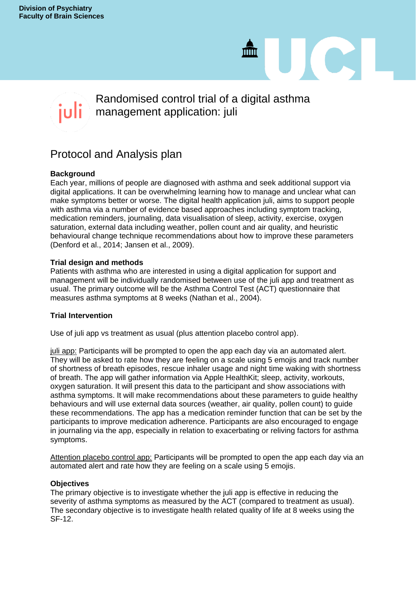# Randomised control trial of a digital asthma management application: juli

 $\mathbf{m}$ 

JC

# Protocol and Analysis plan

# **Background**

Each year, millions of people are diagnosed with asthma and seek additional support via digital applications. It can be overwhelming learning how to manage and unclear what can make symptoms better or worse. The digital health application juli, aims to support people with asthma via a number of evidence based approaches including symptom tracking, medication reminders, journaling, data visualisation of sleep, activity, exercise, oxygen saturation, external data including weather, pollen count and air quality, and heuristic behavioural change technique recommendations about how to improve these parameters (Denford et al., 2014; Jansen et al., 2009).

## **Trial design and methods**

Patients with asthma who are interested in using a digital application for support and management will be individually randomised between use of the juli app and treatment as usual. The primary outcome will be the Asthma Control Test (ACT) questionnaire that measures asthma symptoms at 8 weeks (Nathan et al., 2004).

#### **Trial Intervention**

Use of juli app vs treatment as usual (plus attention placebo control app).

juli app: Participants will be prompted to open the app each day via an automated alert. They will be asked to rate how they are feeling on a scale using 5 emojis and track number of shortness of breath episodes, rescue inhaler usage and night time waking with shortness of breath. The app will gather information via Apple HealthKit; sleep, activity, workouts, oxygen saturation. It will present this data to the participant and show associations with asthma symptoms. It will make recommendations about these parameters to guide healthy behaviours and will use external data sources (weather, air quality, pollen count) to guide these recommendations. The app has a medication reminder function that can be set by the participants to improve medication adherence. Participants are also encouraged to engage in journaling via the app, especially in relation to exacerbating or reliving factors for asthma symptoms.

Attention placebo control app: Participants will be prompted to open the app each day via an automated alert and rate how they are feeling on a scale using 5 emojis.

#### **Objectives**

The primary objective is to investigate whether the juli app is effective in reducing the severity of asthma symptoms as measured by the ACT (compared to treatment as usual). The secondary objective is to investigate health related quality of life at 8 weeks using the SF-12.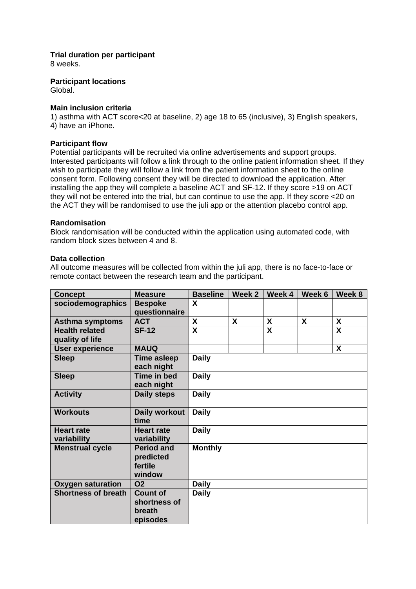**Trial duration per participant**

8 weeks.

**Participant locations**

Global.

# **Main inclusion criteria**

1) asthma with ACT score<20 at baseline, 2) age 18 to 65 (inclusive), 3) English speakers, 4) have an iPhone.

# **Participant flow**

Potential participants will be recruited via online advertisements and support groups. Interested participants will follow a link through to the online patient information sheet. If they wish to participate they will follow a link from the patient information sheet to the online consent form. Following consent they will be directed to download the application. After installing the app they will complete a baseline ACT and SF-12. If they score >19 on ACT they will not be entered into the trial, but can continue to use the app. If they score <20 on the ACT they will be randomised to use the juli app or the attention placebo control app.

## **Randomisation**

Block randomisation will be conducted within the application using automated code, with random block sizes between 4 and 8.

## **Data collection**

All outcome measures will be collected from within the juli app, there is no face-to-face or remote contact between the research team and the participant.

| <b>Concept</b>                           | <b>Measure</b>                                        | <b>Baseline</b>         | Week 2 | Week 4                  | Week 6 | Week 8                  |
|------------------------------------------|-------------------------------------------------------|-------------------------|--------|-------------------------|--------|-------------------------|
| sociodemographics                        | <b>Bespoke</b><br>questionnaire                       | X                       |        |                         |        |                         |
| <b>Asthma symptoms</b>                   | <b>ACT</b>                                            | X                       | X      | X                       | X      | X                       |
| <b>Health related</b><br>quality of life | <b>SF-12</b>                                          | $\overline{\mathbf{x}}$ |        | $\overline{\mathbf{x}}$ |        | $\overline{\mathbf{x}}$ |
| <b>User experience</b>                   | <b>MAUQ</b>                                           |                         |        |                         |        | X                       |
| <b>Sleep</b>                             | <b>Time asleep</b><br>each night                      | <b>Daily</b>            |        |                         |        |                         |
| <b>Sleep</b>                             | Time in bed<br>each night                             | <b>Daily</b>            |        |                         |        |                         |
| <b>Activity</b>                          | <b>Daily steps</b>                                    | <b>Daily</b>            |        |                         |        |                         |
| <b>Workouts</b>                          | Daily workout<br>time                                 | <b>Daily</b>            |        |                         |        |                         |
| <b>Heart rate</b><br>variability         | <b>Heart rate</b><br>variability                      | <b>Daily</b>            |        |                         |        |                         |
| <b>Menstrual cycle</b>                   | <b>Period and</b><br>predicted<br>fertile<br>window   | <b>Monthly</b>          |        |                         |        |                         |
| <b>Oxygen saturation</b>                 | <b>O2</b>                                             | <b>Daily</b>            |        |                         |        |                         |
| <b>Shortness of breath</b>               | <b>Count of</b><br>shortness of<br>breath<br>episodes | <b>Daily</b>            |        |                         |        |                         |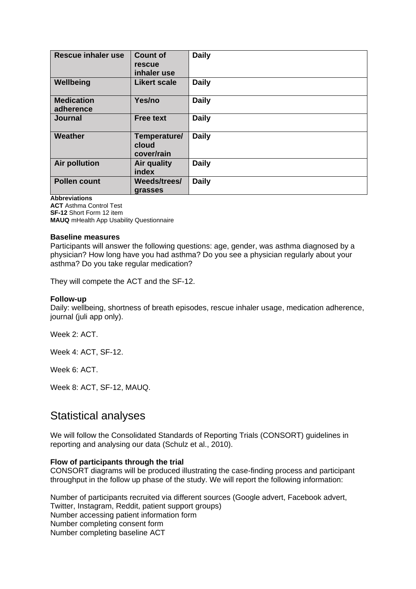| <b>Rescue inhaler use</b>      | <b>Count of</b><br>rescue<br>inhaler use | <b>Daily</b> |
|--------------------------------|------------------------------------------|--------------|
| Wellbeing                      | <b>Likert scale</b>                      | <b>Daily</b> |
| <b>Medication</b><br>adherence | Yes/no                                   | <b>Daily</b> |
| <b>Journal</b>                 | <b>Free text</b>                         | <b>Daily</b> |
| Weather                        | Temperature/<br>cloud<br>cover/rain      | <b>Daily</b> |
| <b>Air pollution</b>           | <b>Air quality</b><br>index              | <b>Daily</b> |
| <b>Pollen count</b>            | Weeds/trees/<br>grasses                  | <b>Daily</b> |

**Abbreviations**

**ACT** Asthma Control Test **SF-12** Short Form 12 item **MAUQ** mHealth App Usability Questionnaire

#### **Baseline measures**

Participants will answer the following questions: age, gender, was asthma diagnosed by a physician? How long have you had asthma? Do you see a physician regularly about your asthma? Do you take regular medication?

They will compete the ACT and the SF-12.

#### **Follow-up**

Daily: wellbeing, shortness of breath episodes, rescue inhaler usage, medication adherence, journal (juli app only).

Week 2: ACT.

Week 4: ACT, SF-12.

Week 6: ACT.

Week 8: ACT, SF-12, MAUQ.

# Statistical analyses

We will follow the Consolidated Standards of Reporting Trials (CONSORT) guidelines in reporting and analysing our data (Schulz et al., 2010).

#### **Flow of participants through the trial**

CONSORT diagrams will be produced illustrating the case-finding process and participant throughput in the follow up phase of the study. We will report the following information:

Number of participants recruited via different sources (Google advert, Facebook advert, Twitter, Instagram, Reddit, patient support groups) Number accessing patient information form Number completing consent form Number completing baseline ACT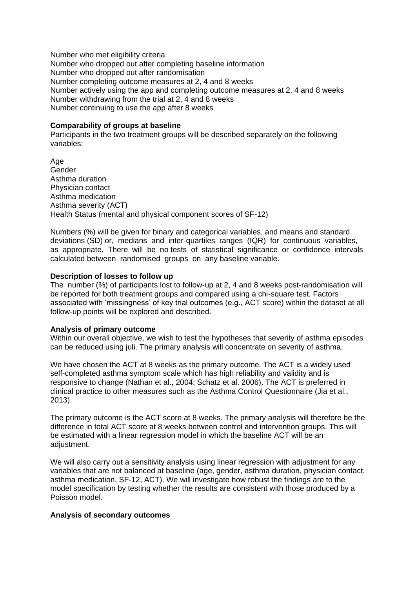Number who met eligibility criteria Number who dropped out after completing baseline information Number who dropped out after randomisation Number completing outcome measures at 2, 4 and 8 weeks Number actively using the app and completing outcome measures at 2, 4 and 8 weeks Number withdrawing from the trial at 2, 4 and 8 weeks Number continuing to use the app after 8 weeks

#### **Comparability of groups at baseline**

Participants in the two treatment groups will be described separately on the following variables:

Age Gender Asthma duration Physician contact Asthma medication Asthma severity (ACT) Health Status (mental and physical component scores of SF-12)

Numbers (%) will be given for binary and categorical variables, and means and standard deviations (SD) or, medians and inter-quartiles ranges (IQR) for continuous variables, as appropriate. There will be no tests of statistical significance or confidence intervals calculated between randomised groups on any baseline variable.

#### **Description of losses to follow up**

The number (%) of participants lost to follow-up at 2, 4 and 8 weeks post-randomisation will be reported for both treatment groups and compared using a chi-square test. Factors associated with 'missingness' of key trial outcomes (e.g., ACT score) within the dataset at all follow-up points will be explored and described.

#### **Analysis of primary outcome**

Within our overall objective, we wish to test the hypotheses that severity of asthma episodes can be reduced using juli. The primary analysis will concentrate on severity of asthma.

We have chosen the ACT at 8 weeks as the primary outcome. The ACT is a widely used self-completed asthma symptom scale which has high reliability and validity and is responsive to change (Nathan et al., 2004; Schatz et al. 2006). The ACT is preferred in clinical practice to other measures such as the Asthma Control Questionnaire (Jia et al., 2013).

The primary outcome is the ACT score at 8 weeks. The primary analysis will therefore be the difference in total ACT score at 8 weeks between control and intervention groups. This will be estimated with a linear regression model in which the baseline ACT will be an adiustment.

We will also carry out a sensitivity analysis using linear regression with adjustment for any variables that are not balanced at baseline (age, gender, asthma duration, physician contact, asthma medication, SF-12, ACT). We will investigate how robust the findings are to the model specification by testing whether the results are consistent with those produced by a Poisson model.

#### **Analysis of secondary outcomes**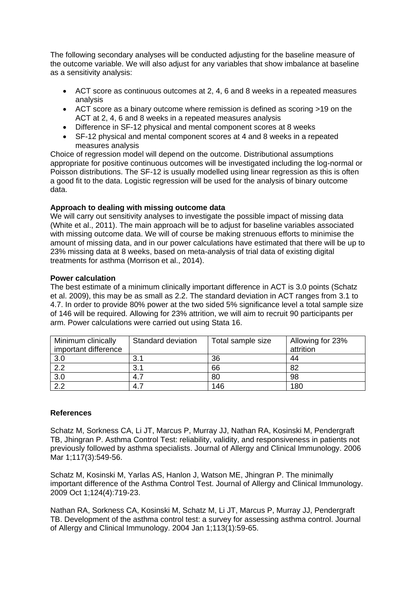The following secondary analyses will be conducted adjusting for the baseline measure of the outcome variable. We will also adjust for any variables that show imbalance at baseline as a sensitivity analysis:

- ACT score as continuous outcomes at 2, 4, 6 and 8 weeks in a repeated measures analysis
- ACT score as a binary outcome where remission is defined as scoring >19 on the ACT at 2, 4, 6 and 8 weeks in a repeated measures analysis
- Difference in SF-12 physical and mental component scores at 8 weeks
- SF-12 physical and mental component scores at 4 and 8 weeks in a repeated measures analysis

Choice of regression model will depend on the outcome. Distributional assumptions appropriate for positive continuous outcomes will be investigated including the log-normal or Poisson distributions. The SF-12 is usually modelled using linear regression as this is often a good fit to the data. Logistic regression will be used for the analysis of binary outcome data.

# **Approach to dealing with missing outcome data**

We will carry out sensitivity analyses to investigate the possible impact of missing data (White et al., 2011). The main approach will be to adjust for baseline variables associated with missing outcome data. We will of course be making strenuous efforts to minimise the amount of missing data, and in our power calculations have estimated that there will be up to 23% missing data at 8 weeks, based on meta-analysis of trial data of existing digital treatments for asthma (Morrison et al., 2014).

# **Power calculation**

The best estimate of a minimum clinically important difference in ACT is 3.0 points (Schatz et al. 2009), this may be as small as 2.2. The standard deviation in ACT ranges from 3.1 to 4.7. In order to provide 80% power at the two sided 5% significance level a total sample size of 146 will be required. Allowing for 23% attrition, we will aim to recruit 90 participants per arm. Power calculations were carried out using Stata 16.

| Minimum clinically   | Standard deviation | Total sample size | Allowing for 23% |
|----------------------|--------------------|-------------------|------------------|
| important difference |                    |                   | attrition        |
| 3.0                  | 3.1                | 36                | 44               |
| 2.2                  | 3.1                | 66                | 82               |
| 3.0                  | -4.7               | 80                | 98               |
| 2.2                  | 4.7                | 146               | 180              |

# **References**

Schatz M, Sorkness CA, Li JT, Marcus P, Murray JJ, Nathan RA, Kosinski M, Pendergraft TB, Jhingran P. Asthma Control Test: reliability, validity, and responsiveness in patients not previously followed by asthma specialists. Journal of Allergy and Clinical Immunology. 2006 Mar 1;117(3):549-56.

Schatz M, Kosinski M, Yarlas AS, Hanlon J, Watson ME, Jhingran P. The minimally important difference of the Asthma Control Test. Journal of Allergy and Clinical Immunology. 2009 Oct 1;124(4):719-23.

Nathan RA, Sorkness CA, Kosinski M, Schatz M, Li JT, Marcus P, Murray JJ, Pendergraft TB. Development of the asthma control test: a survey for assessing asthma control. Journal of Allergy and Clinical Immunology. 2004 Jan 1;113(1):59-65.